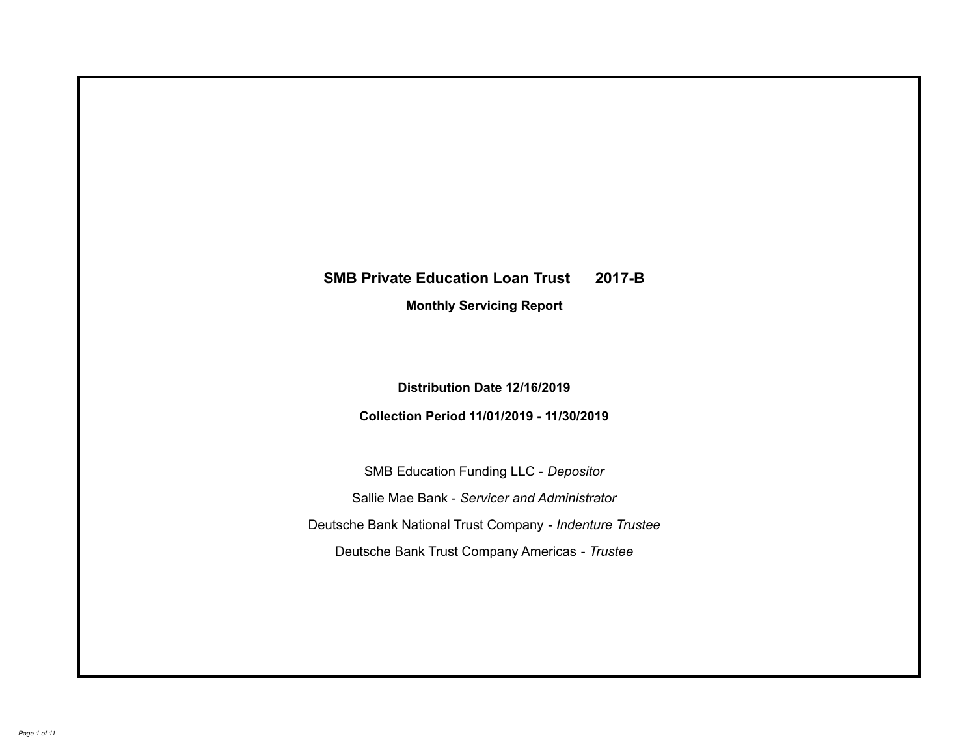# **SMB Private Education Loan Trust 2017-B Monthly Servicing Report**

### **Distribution Date 12/16/2019**

### **Collection Period 11/01/2019 - 11/30/2019**

SMB Education Funding LLC - *Depositor* Sallie Mae Bank - *Servicer and Administrator* Deutsche Bank National Trust Company - *Indenture Trustee* Deutsche Bank Trust Company Americas - *Trustee*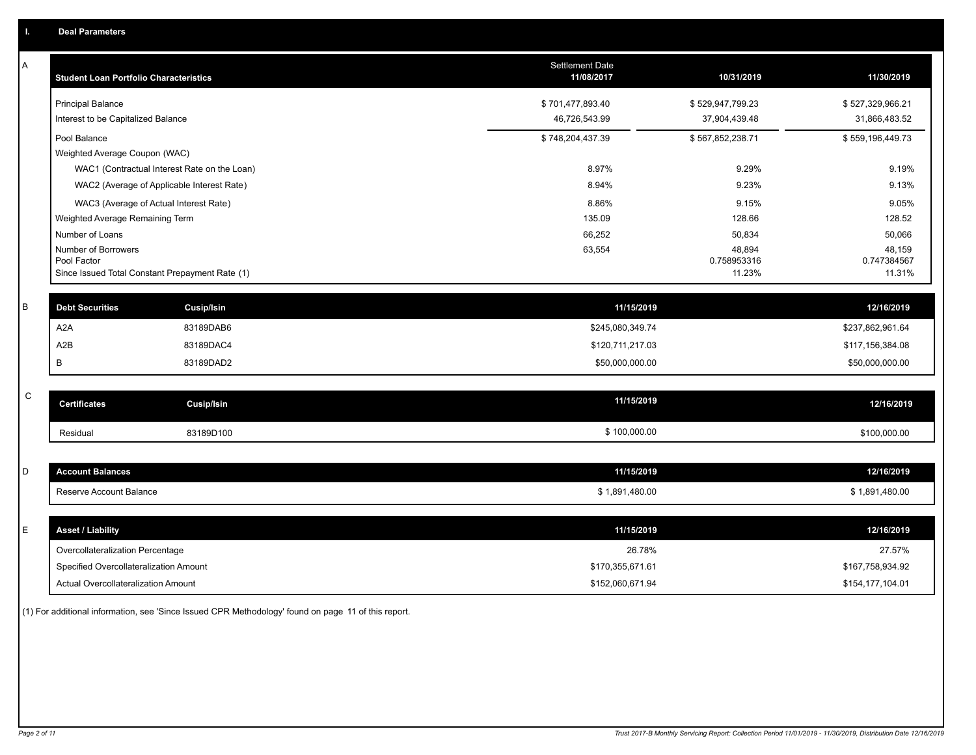| A           | <b>Student Loan Portfolio Characteristics</b> |                                                 | <b>Settlement Date</b><br>11/08/2017 | 10/31/2019            | 11/30/2019            |
|-------------|-----------------------------------------------|-------------------------------------------------|--------------------------------------|-----------------------|-----------------------|
|             | <b>Principal Balance</b>                      |                                                 | \$701,477,893.40                     | \$529,947,799.23      | \$527,329,966.21      |
|             | Interest to be Capitalized Balance            |                                                 | 46,726,543.99                        | 37,904,439.48         | 31,866,483.52         |
|             | Pool Balance                                  |                                                 | \$748,204,437.39                     | \$567,852,238.71      | \$559,196,449.73      |
|             | Weighted Average Coupon (WAC)                 |                                                 |                                      |                       |                       |
|             |                                               | WAC1 (Contractual Interest Rate on the Loan)    | 8.97%                                | 9.29%                 | 9.19%                 |
|             |                                               | WAC2 (Average of Applicable Interest Rate)      | 8.94%                                | 9.23%                 | 9.13%                 |
|             |                                               | WAC3 (Average of Actual Interest Rate)          | 8.86%                                | 9.15%                 | 9.05%                 |
|             | Weighted Average Remaining Term               |                                                 | 135.09                               | 128.66                | 128.52                |
|             | Number of Loans                               |                                                 | 66,252                               | 50,834                | 50,066                |
|             | Number of Borrowers                           |                                                 | 63,554                               | 48,894                | 48,159                |
|             | Pool Factor                                   | Since Issued Total Constant Prepayment Rate (1) |                                      | 0.758953316<br>11.23% | 0.747384567<br>11.31% |
|             |                                               |                                                 |                                      |                       |                       |
| B           | <b>Debt Securities</b>                        | <b>Cusip/Isin</b>                               | 11/15/2019                           |                       | 12/16/2019            |
|             | A <sub>2</sub> A                              | 83189DAB6                                       | \$245,080,349.74                     |                       | \$237,862,961.64      |
|             | A2B                                           | 83189DAC4                                       | \$120,711,217.03                     |                       | \$117,156,384.08      |
|             | В                                             | 83189DAD2                                       | \$50,000,000.00                      |                       | \$50,000,000.00       |
|             |                                               |                                                 |                                      |                       |                       |
| $\mathsf C$ | <b>Certificates</b>                           | <b>Cusip/Isin</b>                               | 11/15/2019                           |                       | 12/16/2019            |
|             | Residual                                      | 83189D100                                       | \$100,000.00                         |                       | \$100,000.00          |
|             |                                               |                                                 |                                      |                       |                       |
| D           | <b>Account Balances</b>                       |                                                 | 11/15/2019                           |                       | 12/16/2019            |
|             | Reserve Account Balance                       |                                                 | \$1,891,480.00                       |                       | \$1,891,480.00        |
|             |                                               |                                                 |                                      |                       |                       |
| E           | <b>Asset / Liability</b>                      |                                                 | 11/15/2019                           |                       | 12/16/2019            |
|             | Overcollateralization Percentage              |                                                 | 26.78%                               |                       | 27.57%                |
|             | Specified Overcollateralization Amount        |                                                 | \$170,355,671.61                     |                       | \$167,758,934.92      |
|             | Actual Overcollateralization Amount           |                                                 | \$152,060,671.94                     |                       | \$154,177,104.01      |

(1) For additional information, see 'Since Issued CPR Methodology' found on page 11 of this report.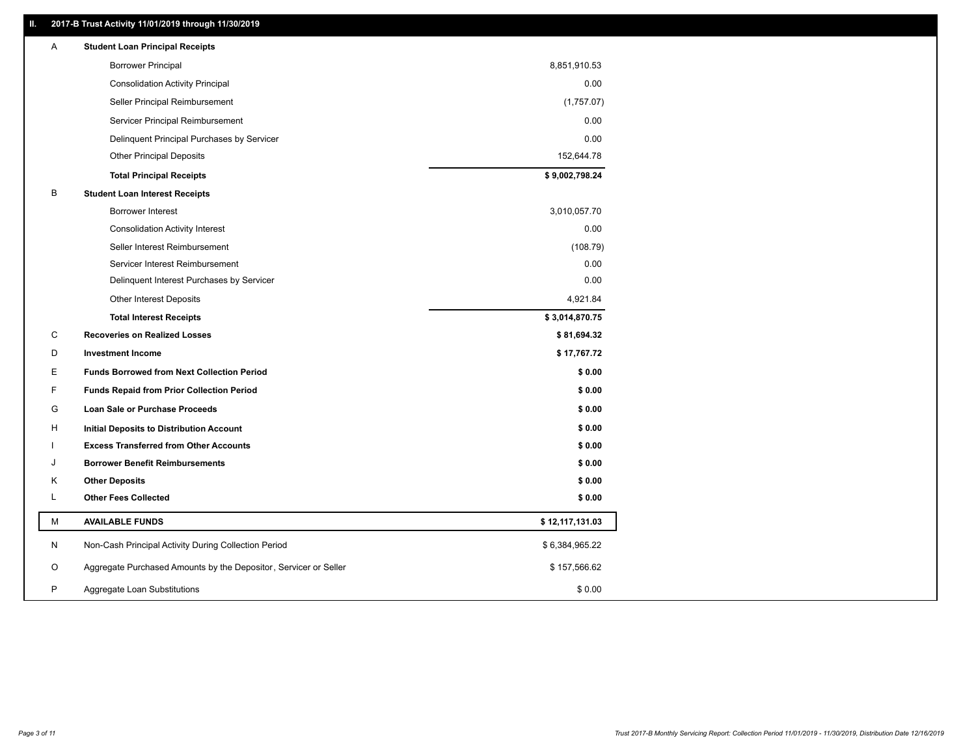### **II. 2017-B Trust Activity 11/01/2019 through 11/30/2019**

| Α | <b>Student Loan Principal Receipts</b>                           |                 |  |
|---|------------------------------------------------------------------|-----------------|--|
|   | <b>Borrower Principal</b>                                        | 8,851,910.53    |  |
|   | <b>Consolidation Activity Principal</b>                          | 0.00            |  |
|   | Seller Principal Reimbursement                                   | (1,757.07)      |  |
|   | Servicer Principal Reimbursement                                 | 0.00            |  |
|   | Delinquent Principal Purchases by Servicer                       | 0.00            |  |
|   | <b>Other Principal Deposits</b>                                  | 152,644.78      |  |
|   | <b>Total Principal Receipts</b>                                  | \$9,002,798.24  |  |
| B | <b>Student Loan Interest Receipts</b>                            |                 |  |
|   | <b>Borrower Interest</b>                                         | 3,010,057.70    |  |
|   | <b>Consolidation Activity Interest</b>                           | 0.00            |  |
|   | Seller Interest Reimbursement                                    | (108.79)        |  |
|   | Servicer Interest Reimbursement                                  | 0.00            |  |
|   | Delinquent Interest Purchases by Servicer                        | 0.00            |  |
|   | Other Interest Deposits                                          | 4,921.84        |  |
|   | <b>Total Interest Receipts</b>                                   | \$3,014,870.75  |  |
| C | <b>Recoveries on Realized Losses</b>                             | \$81,694.32     |  |
| D | <b>Investment Income</b>                                         | \$17,767.72     |  |
| Е | <b>Funds Borrowed from Next Collection Period</b>                | \$0.00          |  |
| F | <b>Funds Repaid from Prior Collection Period</b>                 | \$0.00          |  |
| G | Loan Sale or Purchase Proceeds                                   | \$0.00          |  |
| H | Initial Deposits to Distribution Account                         | \$0.00          |  |
|   | <b>Excess Transferred from Other Accounts</b>                    | \$0.00          |  |
| J | <b>Borrower Benefit Reimbursements</b>                           | \$0.00          |  |
| Κ | <b>Other Deposits</b>                                            | \$0.00          |  |
| L | <b>Other Fees Collected</b>                                      | \$0.00          |  |
| М | <b>AVAILABLE FUNDS</b>                                           | \$12,117,131.03 |  |
| N | Non-Cash Principal Activity During Collection Period             | \$6,384,965.22  |  |
| O | Aggregate Purchased Amounts by the Depositor, Servicer or Seller | \$157,566.62    |  |
| P | Aggregate Loan Substitutions                                     | \$0.00          |  |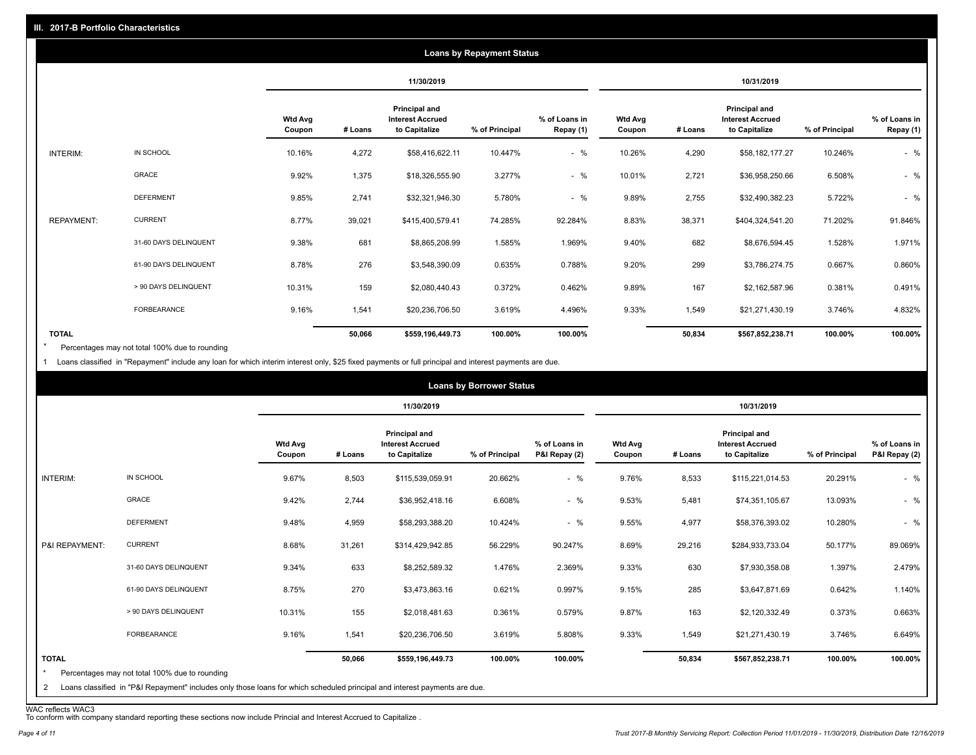| <b>Loans by Repayment Status</b> |                       |                          |            |                                                           |                |                            |                   |         |                                                           |                |                            |
|----------------------------------|-----------------------|--------------------------|------------|-----------------------------------------------------------|----------------|----------------------------|-------------------|---------|-----------------------------------------------------------|----------------|----------------------------|
|                                  |                       |                          | 11/30/2019 |                                                           |                | 10/31/2019                 |                   |         |                                                           |                |                            |
|                                  |                       | <b>Wtd Avg</b><br>Coupon | # Loans    | Principal and<br><b>Interest Accrued</b><br>to Capitalize | % of Principal | % of Loans in<br>Repay (1) | Wtd Avg<br>Coupon | # Loans | Principal and<br><b>Interest Accrued</b><br>to Capitalize | % of Principal | % of Loans in<br>Repay (1) |
| INTERIM:                         | IN SCHOOL             | 10.16%                   | 4,272      | \$58,416,622.11                                           | 10.447%        | $-$ %                      | 10.26%            | 4,290   | \$58,182,177.27                                           | 10.246%        | $-$ %                      |
|                                  | <b>GRACE</b>          | 9.92%                    | 1,375      | \$18,326,555.90                                           | 3.277%         | $-$ %                      | 10.01%            | 2,721   | \$36,958,250.66                                           | 6.508%         | $-$ %                      |
|                                  | <b>DEFERMENT</b>      | 9.85%                    | 2,741      | \$32,321,946.30                                           | 5.780%         | $-$ %                      | 9.89%             | 2,755   | \$32,490,382.23                                           | 5.722%         | $-$ %                      |
| <b>REPAYMENT:</b>                | <b>CURRENT</b>        | 8.77%                    | 39,021     | \$415,400,579.41                                          | 74.285%        | 92.284%                    | 8.83%             | 38,371  | \$404,324,541.20                                          | 71.202%        | 91.846%                    |
|                                  | 31-60 DAYS DELINQUENT | 9.38%                    | 681        | \$8,865,208.99                                            | 1.585%         | 1.969%                     | 9.40%             | 682     | \$8,676,594.45                                            | 1.528%         | 1.971%                     |
|                                  | 61-90 DAYS DELINQUENT | 8.78%                    | 276        | \$3,548,390.09                                            | 0.635%         | 0.788%                     | 9.20%             | 299     | \$3,786,274.75                                            | 0.667%         | 0.860%                     |
|                                  | > 90 DAYS DELINQUENT  | 10.31%                   | 159        | \$2,080,440.43                                            | 0.372%         | 0.462%                     | 9.89%             | 167     | \$2,162,587.96                                            | 0.381%         | 0.491%                     |
|                                  | FORBEARANCE           | 9.16%                    | 1,541      | \$20,236,706.50                                           | 3.619%         | 4.496%                     | 9.33%             | 1,549   | \$21,271,430.19                                           | 3.746%         | 4.832%                     |
| <b>TOTAL</b>                     |                       |                          | 50,066     | \$559,196,449.73                                          | 100.00%        | 100.00%                    |                   | 50,834  | \$567,852,238.71                                          | 100.00%        | 100.00%                    |

Percentages may not total 100% due to rounding \*

1 Loans classified in "Repayment" include any loan for which interim interest only, \$25 fixed payments or full principal and interest payments are due.

|                         |                                                                                                                            |                          |            |                                                           | <b>Loans by Borrower Status</b> |                                |                          |         |                                                           |                |                                |
|-------------------------|----------------------------------------------------------------------------------------------------------------------------|--------------------------|------------|-----------------------------------------------------------|---------------------------------|--------------------------------|--------------------------|---------|-----------------------------------------------------------|----------------|--------------------------------|
|                         |                                                                                                                            |                          | 11/30/2019 |                                                           |                                 | 10/31/2019                     |                          |         |                                                           |                |                                |
|                         |                                                                                                                            | <b>Wtd Avg</b><br>Coupon | # Loans    | Principal and<br><b>Interest Accrued</b><br>to Capitalize | % of Principal                  | % of Loans in<br>P&I Repay (2) | <b>Wtd Avg</b><br>Coupon | # Loans | Principal and<br><b>Interest Accrued</b><br>to Capitalize | % of Principal | % of Loans in<br>P&I Repay (2) |
| INTERIM:                | IN SCHOOL                                                                                                                  | 9.67%                    | 8,503      | \$115,539,059.91                                          | 20.662%                         | $-$ %                          | 9.76%                    | 8,533   | \$115,221,014.53                                          | 20.291%        | $-$ %                          |
|                         | GRACE                                                                                                                      | 9.42%                    | 2,744      | \$36,952,418.16                                           | 6.608%                          | $-$ %                          | 9.53%                    | 5,481   | \$74,351,105.67                                           | 13.093%        | $-$ %                          |
|                         | <b>DEFERMENT</b>                                                                                                           | 9.48%                    | 4,959      | \$58,293,388.20                                           | 10.424%                         | $-$ %                          | 9.55%                    | 4,977   | \$58,376,393.02                                           | 10.280%        | $-$ %                          |
| P&I REPAYMENT:          | <b>CURRENT</b>                                                                                                             | 8.68%                    | 31,261     | \$314,429,942.85                                          | 56.229%                         | 90.247%                        | 8.69%                    | 29,216  | \$284,933,733.04                                          | 50.177%        | 89.069%                        |
|                         | 31-60 DAYS DELINQUENT                                                                                                      | 9.34%                    | 633        | \$8,252,589.32                                            | 1.476%                          | 2.369%                         | 9.33%                    | 630     | \$7,930,358.08                                            | 1.397%         | 2.479%                         |
|                         | 61-90 DAYS DELINQUENT                                                                                                      | 8.75%                    | 270        | \$3,473,863.16                                            | 0.621%                          | 0.997%                         | 9.15%                    | 285     | \$3,647,871.69                                            | 0.642%         | 1.140%                         |
|                         | > 90 DAYS DELINQUENT                                                                                                       | 10.31%                   | 155        | \$2,018,481.63                                            | 0.361%                          | 0.579%                         | 9.87%                    | 163     | \$2,120,332.49                                            | 0.373%         | 0.663%                         |
|                         | <b>FORBEARANCE</b>                                                                                                         | 9.16%                    | 1,541      | \$20,236,706.50                                           | 3.619%                          | 5.808%                         | 9.33%                    | 1,549   | \$21,271,430.19                                           | 3.746%         | 6.649%                         |
| <b>TOTAL</b><br>$\star$ | Percentages may not total 100% due to rounding                                                                             |                          | 50,066     | \$559,196,449.73                                          | 100.00%                         | 100.00%                        |                          | 50,834  | \$567,852,238.71                                          | 100.00%        | 100.00%                        |
| 2                       | Loans classified in "P&I Repayment" includes only those loans for which scheduled principal and interest payments are due. |                          |            |                                                           |                                 |                                |                          |         |                                                           |                |                                |

WAC reflects WAC3 To conform with company standard reporting these sections now include Princial and Interest Accrued to Capitalize .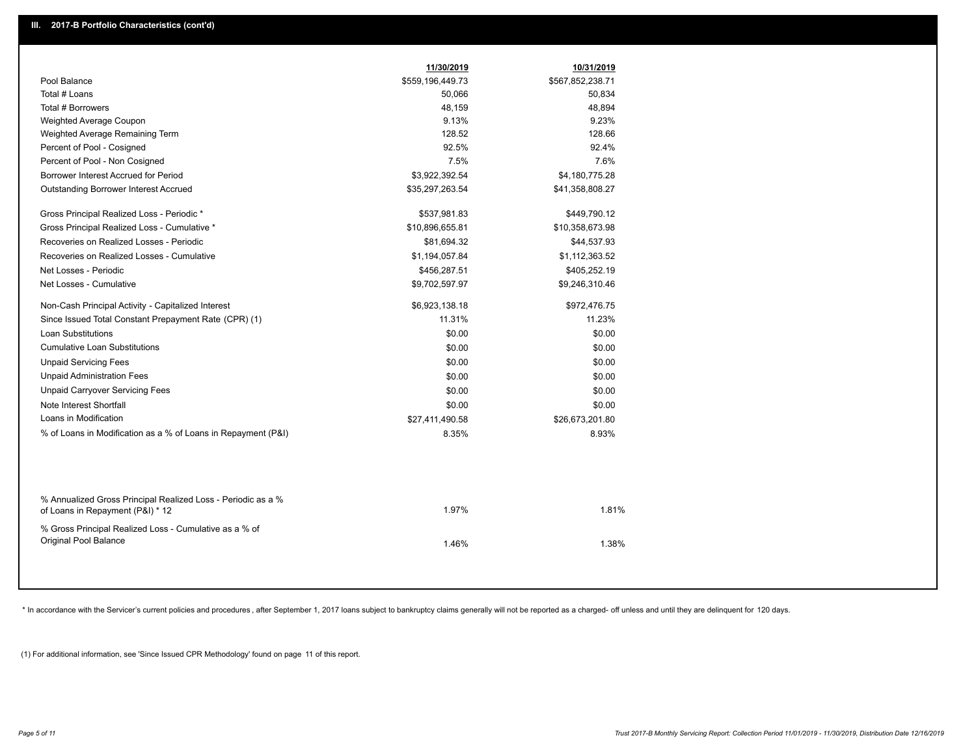|                                                                                                  | 11/30/2019       | 10/31/2019       |  |
|--------------------------------------------------------------------------------------------------|------------------|------------------|--|
| Pool Balance                                                                                     | \$559,196,449.73 | \$567,852,238.71 |  |
| Total # Loans                                                                                    | 50,066           | 50,834           |  |
| Total # Borrowers                                                                                | 48,159           | 48,894           |  |
| Weighted Average Coupon                                                                          | 9.13%            | 9.23%            |  |
| Weighted Average Remaining Term                                                                  | 128.52           | 128.66           |  |
| Percent of Pool - Cosigned                                                                       | 92.5%            | 92.4%            |  |
| Percent of Pool - Non Cosigned                                                                   | 7.5%             | 7.6%             |  |
| Borrower Interest Accrued for Period                                                             | \$3,922,392.54   | \$4,180,775.28   |  |
| Outstanding Borrower Interest Accrued                                                            | \$35,297,263.54  | \$41,358,808.27  |  |
| Gross Principal Realized Loss - Periodic *                                                       | \$537,981.83     | \$449,790.12     |  |
| Gross Principal Realized Loss - Cumulative *                                                     | \$10,896,655.81  | \$10,358,673.98  |  |
| Recoveries on Realized Losses - Periodic                                                         | \$81,694.32      | \$44,537.93      |  |
| Recoveries on Realized Losses - Cumulative                                                       | \$1,194,057.84   | \$1,112,363.52   |  |
| Net Losses - Periodic                                                                            | \$456,287.51     | \$405,252.19     |  |
| Net Losses - Cumulative                                                                          | \$9,702,597.97   | \$9,246,310.46   |  |
| Non-Cash Principal Activity - Capitalized Interest                                               | \$6,923,138.18   | \$972,476.75     |  |
| Since Issued Total Constant Prepayment Rate (CPR) (1)                                            | 11.31%           | 11.23%           |  |
| <b>Loan Substitutions</b>                                                                        | \$0.00           | \$0.00           |  |
| <b>Cumulative Loan Substitutions</b>                                                             | \$0.00           | \$0.00           |  |
| <b>Unpaid Servicing Fees</b>                                                                     | \$0.00           | \$0.00           |  |
| <b>Unpaid Administration Fees</b>                                                                | \$0.00           | \$0.00           |  |
| <b>Unpaid Carryover Servicing Fees</b>                                                           | \$0.00           | \$0.00           |  |
| Note Interest Shortfall                                                                          | \$0.00           | \$0.00           |  |
| Loans in Modification                                                                            | \$27,411,490.58  | \$26,673,201.80  |  |
| % of Loans in Modification as a % of Loans in Repayment (P&I)                                    | 8.35%            | 8.93%            |  |
|                                                                                                  |                  |                  |  |
| % Annualized Gross Principal Realized Loss - Periodic as a %<br>of Loans in Repayment (P&I) * 12 | 1.97%            | 1.81%            |  |
| % Gross Principal Realized Loss - Cumulative as a % of<br>Original Pool Balance                  | 1.46%            | 1.38%            |  |
|                                                                                                  |                  |                  |  |

\* In accordance with the Servicer's current policies and procedures, after September 1, 2017 loans subject to bankruptcy claims generally will not be reported as a charged- off unless and until they are delinquent for 120

(1) For additional information, see 'Since Issued CPR Methodology' found on page 11 of this report.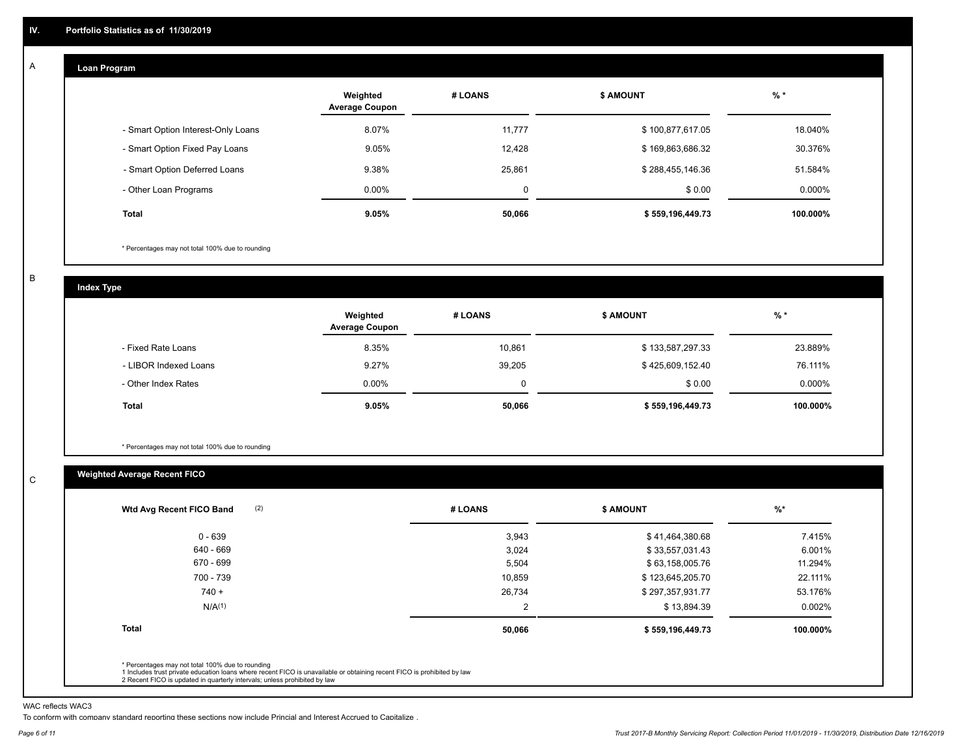#### **Loan Program**  A

|                                    | Weighted<br><b>Average Coupon</b> | # LOANS | <b>\$ AMOUNT</b> | $%$ *     |
|------------------------------------|-----------------------------------|---------|------------------|-----------|
| - Smart Option Interest-Only Loans | 8.07%                             | 11,777  | \$100,877,617.05 | 18.040%   |
| - Smart Option Fixed Pay Loans     | 9.05%                             | 12.428  | \$169,863,686.32 | 30.376%   |
| - Smart Option Deferred Loans      | 9.38%                             | 25,861  | \$288,455,146.36 | 51.584%   |
| - Other Loan Programs              | $0.00\%$                          | 0       | \$0.00           | $0.000\%$ |
| <b>Total</b>                       | 9.05%                             | 50,066  | \$559,196,449.73 | 100.000%  |

\* Percentages may not total 100% due to rounding

B

C

**Index Type**

|                       | Weighted<br><b>Average Coupon</b> | # LOANS | <b>\$ AMOUNT</b> | $%$ *    |
|-----------------------|-----------------------------------|---------|------------------|----------|
| - Fixed Rate Loans    | 8.35%                             | 10,861  | \$133,587,297.33 | 23.889%  |
| - LIBOR Indexed Loans | 9.27%                             | 39,205  | \$425,609,152.40 | 76.111%  |
| - Other Index Rates   | $0.00\%$                          |         | \$0.00           | 0.000%   |
| <b>Total</b>          | 9.05%                             | 50,066  | \$559,196,449.73 | 100.000% |

\* Percentages may not total 100% due to rounding

### **Weighted Average Recent FICO**

| (2)<br>Wtd Avg Recent FICO Band | # LOANS | <b>\$ AMOUNT</b> | $\frac{9}{6}$ * |
|---------------------------------|---------|------------------|-----------------|
| $0 - 639$                       | 3,943   | \$41,464,380.68  | 7.415%          |
| 640 - 669                       | 3,024   | \$33,557,031.43  | 6.001%          |
| 670 - 699                       | 5,504   | \$63,158,005.76  | 11.294%         |
| 700 - 739                       | 10,859  | \$123,645,205.70 | 22.111%         |
| $740 +$                         | 26,734  | \$297,357,931.77 | 53.176%         |
| N/A <sup>(1)</sup>              | 2       | \$13,894.39      | 0.002%          |
| <b>Total</b>                    | 50,066  | \$559,196,449.73 | 100.000%        |
|                                 |         |                  |                 |

WAC reflects WAC3

To conform with company standard reporting these sections now include Princial and Interest Accrued to Capitalize .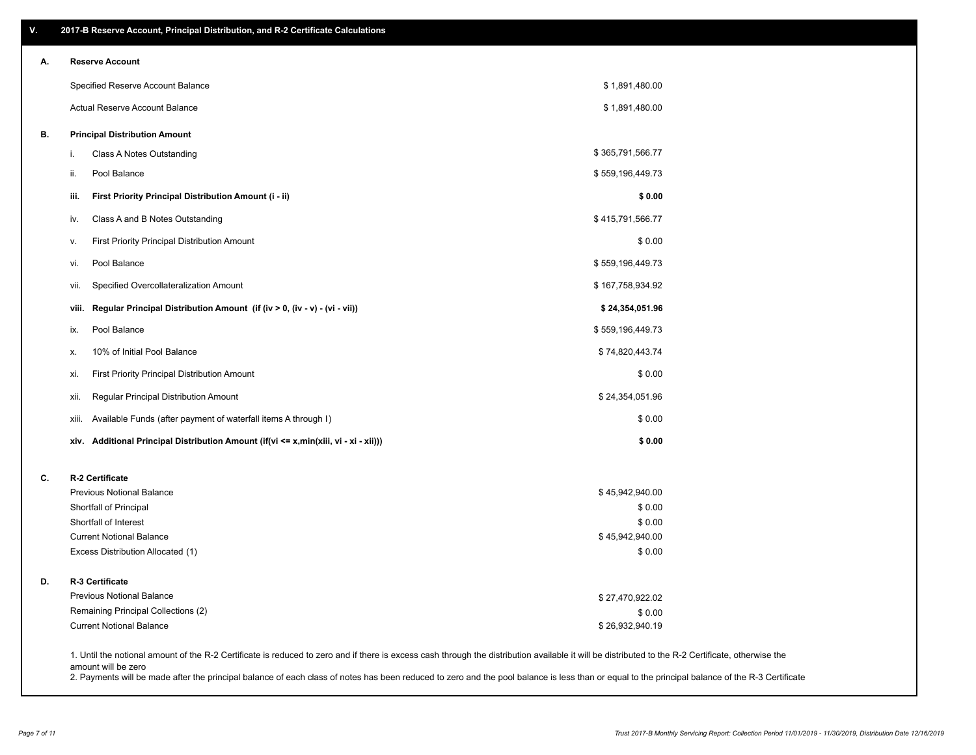| ۷. | 2017-B Reserve Account, Principal Distribution, and R-2 Certificate Calculations                                                                                                                                          |                  |  |
|----|---------------------------------------------------------------------------------------------------------------------------------------------------------------------------------------------------------------------------|------------------|--|
| А. | <b>Reserve Account</b>                                                                                                                                                                                                    |                  |  |
|    | Specified Reserve Account Balance                                                                                                                                                                                         | \$1,891,480.00   |  |
|    | Actual Reserve Account Balance                                                                                                                                                                                            | \$1,891,480.00   |  |
| В. | <b>Principal Distribution Amount</b>                                                                                                                                                                                      |                  |  |
|    | Class A Notes Outstanding<br>i.                                                                                                                                                                                           | \$365,791,566.77 |  |
|    | Pool Balance<br>ii.                                                                                                                                                                                                       | \$559,196,449.73 |  |
|    | First Priority Principal Distribution Amount (i - ii)<br>iii.                                                                                                                                                             | \$0.00           |  |
|    | Class A and B Notes Outstanding<br>iv.                                                                                                                                                                                    | \$415,791,566.77 |  |
|    | First Priority Principal Distribution Amount<br>v.                                                                                                                                                                        | \$0.00           |  |
|    | Pool Balance<br>vi.                                                                                                                                                                                                       | \$559,196,449.73 |  |
|    | Specified Overcollateralization Amount<br>vii.                                                                                                                                                                            | \$167,758,934.92 |  |
|    | Regular Principal Distribution Amount (if (iv > 0, (iv - v) - (vi - vii))<br>viii.                                                                                                                                        | \$24,354,051.96  |  |
|    | Pool Balance<br>ix.                                                                                                                                                                                                       | \$559,196,449.73 |  |
|    | 10% of Initial Pool Balance<br>х.                                                                                                                                                                                         | \$74,820,443.74  |  |
|    | First Priority Principal Distribution Amount<br>xi.                                                                                                                                                                       | \$0.00           |  |
|    | Regular Principal Distribution Amount<br>xii.                                                                                                                                                                             | \$24,354,051.96  |  |
|    | Available Funds (after payment of waterfall items A through I)<br>xiii.                                                                                                                                                   | \$0.00           |  |
|    | xiv. Additional Principal Distribution Amount (if(vi <= x,min(xiii, vi - xi - xii)))                                                                                                                                      | \$0.00           |  |
| C. | R-2 Certificate                                                                                                                                                                                                           |                  |  |
|    | <b>Previous Notional Balance</b>                                                                                                                                                                                          | \$45,942,940.00  |  |
|    | Shortfall of Principal                                                                                                                                                                                                    | \$0.00           |  |
|    | Shortfall of Interest                                                                                                                                                                                                     | \$0.00           |  |
|    | <b>Current Notional Balance</b>                                                                                                                                                                                           | \$45,942,940.00  |  |
|    | Excess Distribution Allocated (1)                                                                                                                                                                                         | \$0.00           |  |
| D. | R-3 Certificate                                                                                                                                                                                                           |                  |  |
|    | <b>Previous Notional Balance</b>                                                                                                                                                                                          | \$27,470,922.02  |  |
|    | Remaining Principal Collections (2)                                                                                                                                                                                       | \$0.00           |  |
|    | <b>Current Notional Balance</b>                                                                                                                                                                                           | \$26,932,940.19  |  |
|    | 1. Until the notional amount of the R-2 Certificate is reduced to zero and if there is excess cash through the distribution available it will be distributed to the R-2 Certificate, otherwise the<br>amount will be zero |                  |  |

2. Payments will be made after the principal balance of each class of notes has been reduced to zero and the pool balance is less than or equal to the principal balance of the R-3 Certificate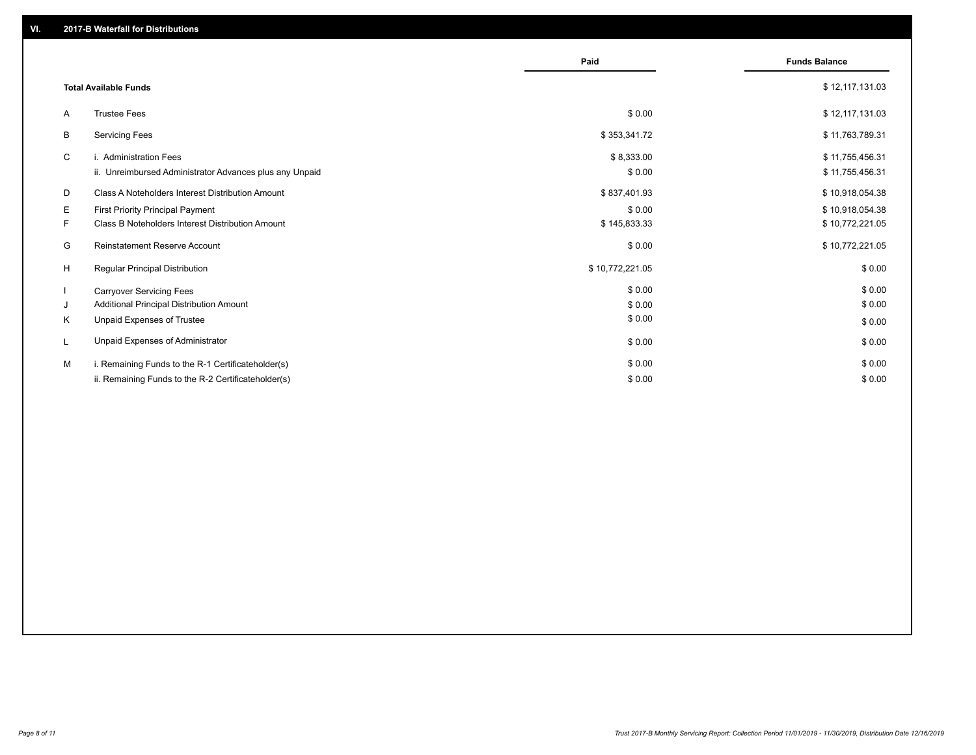|    |                                                         | Paid            | <b>Funds Balance</b> |
|----|---------------------------------------------------------|-----------------|----------------------|
|    | <b>Total Available Funds</b>                            |                 | \$12,117,131.03      |
| A  | <b>Trustee Fees</b>                                     | \$0.00          | \$12,117,131.03      |
| B  | <b>Servicing Fees</b>                                   | \$353,341.72    | \$11,763,789.31      |
| C  | i. Administration Fees                                  | \$8,333.00      | \$11,755,456.31      |
|    | ii. Unreimbursed Administrator Advances plus any Unpaid | \$0.00          | \$11,755,456.31      |
| D  | Class A Noteholders Interest Distribution Amount        | \$837,401.93    | \$10,918,054.38      |
| E  | <b>First Priority Principal Payment</b>                 | \$0.00          | \$10,918,054.38      |
| F. | Class B Noteholders Interest Distribution Amount        | \$145,833.33    | \$10,772,221.05      |
| G  | Reinstatement Reserve Account                           | \$0.00          | \$10,772,221.05      |
| H  | Regular Principal Distribution                          | \$10,772,221.05 | \$0.00               |
|    | <b>Carryover Servicing Fees</b>                         | \$0.00          | \$0.00               |
| J  | Additional Principal Distribution Amount                | \$0.00          | \$0.00               |
| K  | Unpaid Expenses of Trustee                              | \$0.00          | \$0.00               |
|    | Unpaid Expenses of Administrator                        | \$0.00          | \$0.00               |
| M  | i. Remaining Funds to the R-1 Certificateholder(s)      | \$0.00          | \$0.00               |
|    | ii. Remaining Funds to the R-2 Certificateholder(s)     | \$0.00          | \$0.00               |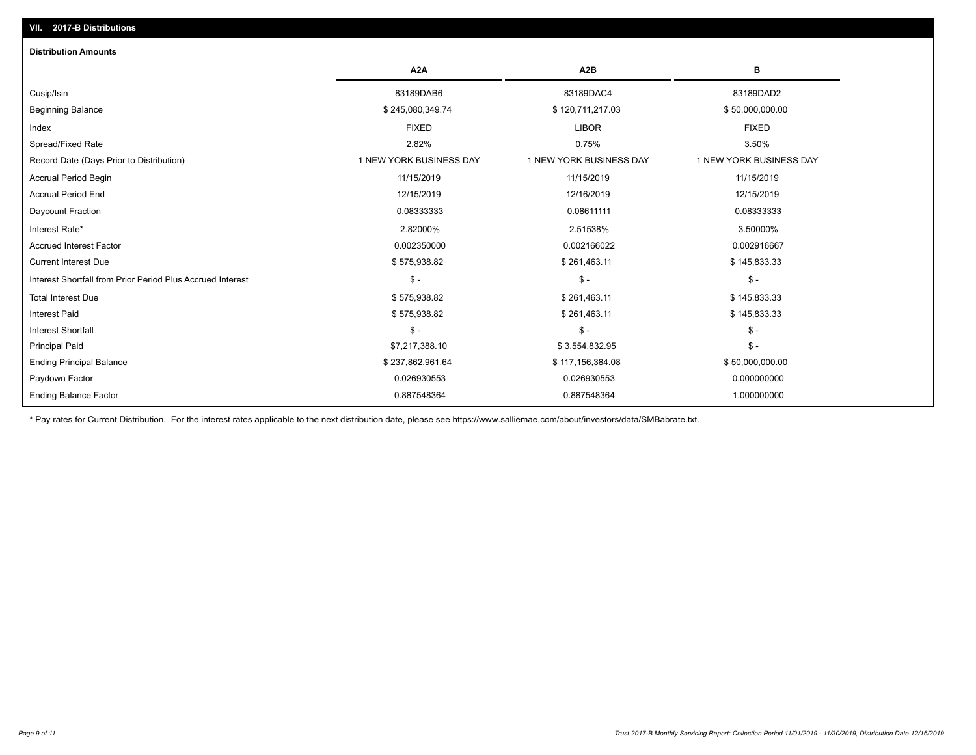## Ending Balance Factor Paydown Factor 0.026930553 0.026930553 0.000000000 Ending Principal Balance \$ 237,862,961.64 \$ 237,862,961.64 \$ 117,156,384.08 \$ 50,000,000.00 Principal Paid \$7,217,388.10 \$ 3,554,832.95 \$ - Interest Shortfall \$ - \$ - \$ - Interest Paid \$ 575,938.82 \$ 261,463.11 \$ 145,833.33 Total Interest Due \$ 145,833.33 \$ 375,938.82 \$ 261,463.11 \$ 261,463.11 \$ 145,833.33 Interest Shortfall from Prior Period Plus Accrued Interest \$ - \$ - \$ - Current Interest Due \$ 575,938.82 \$ 261,463.11 \$ 145,833.33 Accrued Interest Factor 0.002350000 0.002166022 0.002916667 Interest Rate\* 2.82000% 2.51538% 3.50000% Daycount Fraction 0.08333333 0.08611111 0.08333333 Accrual Period End 12/15/2019 12/16/2019 12/15/2019 Accrual Period Begin 11/15/2019 11/15/2019 11/15/2019 Record Date (Days Prior to Distribution) 1 1 NEW YORK BUSINESS DAY 1 NEW YORK BUSINESS DAY 1 NEW YORK BUSINESS DAY Spread/Fixed Rate 2.82% 0.75% 3.50% Index FIXED LIBOR FIXED Beginning Balance \$ 245,080,349.74 \$ 120,711,217.03 \$ 50,000,000.00 Cusip/Isin 83189DAB6 83189DAC4 83189DAD2 **A2A A2B B** 0.887548364 0.887548364 1.000000000 **Distribution Amounts**

\* Pay rates for Current Distribution. For the interest rates applicable to the next distribution date, please see https://www.salliemae.com/about/investors/data/SMBabrate.txt.

**VII. 2017-B Distributions**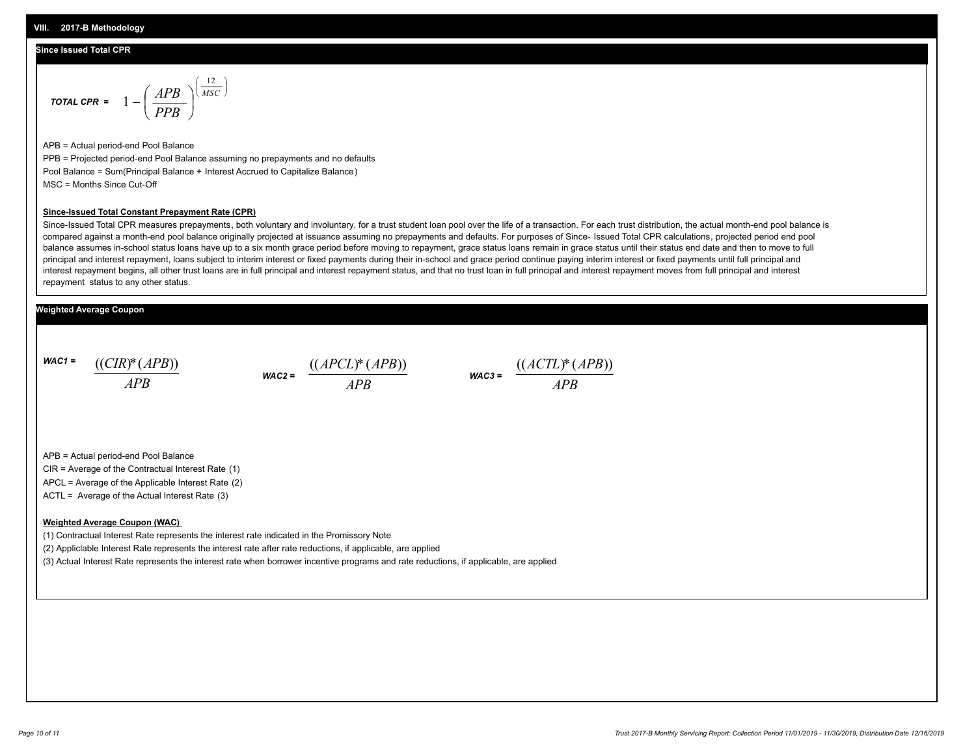### **Since Issued Total CPR**

$$
\text{total CPR} = 1 - \left(\frac{APB}{PPB}\right)^{\left(\frac{12}{MSC}\right)}
$$

APB = Actual period-end Pool Balance PPB = Projected period-end Pool Balance assuming no prepayments and no defaults Pool Balance = Sum(Principal Balance + Interest Accrued to Capitalize Balance) MSC = Months Since Cut-Off

#### **Since-Issued Total Constant Prepayment Rate (CPR)**

Since-Issued Total CPR measures prepayments, both voluntary and involuntary, for a trust student loan pool over the life of a transaction. For each trust distribution, the actual month-end pool balance is compared against a month-end pool balance originally projected at issuance assuming no prepayments and defaults. For purposes of Since- Issued Total CPR calculations, projected period end pool balance assumes in-school status loans have up to a six month grace period before moving to repayment, grace status loans remain in grace status until their status end date and then to move to full principal and interest repayment, loans subject to interim interest or fixed payments during their in-school and grace period continue paying interim interest or fixed payments until full principal and interest repayment begins, all other trust loans are in full principal and interest repayment status, and that no trust loan in full principal and interest repayment moves from full principal and interest repayment status to any other status.

### **Weighted Average Coupon**

*WAC1 = APB* ((*CIR*)\*(*APB*))

*WAC2 = APB*  $\frac{((APCL)^{*}(APB))}{APB}$  wac<sub>3</sub> =  $\frac{((ACTL)^{*}(A)P}{APB}$ 



APB = Actual period-end Pool Balance

CIR = Average of the Contractual Interest Rate (1)

APCL = Average of the Applicable Interest Rate (2)

ACTL = Average of the Actual Interest Rate (3)

#### **Weighted Average Coupon (WAC)**

(1) Contractual Interest Rate represents the interest rate indicated in the Promissory Note

(2) Appliclable Interest Rate represents the interest rate after rate reductions, if applicable, are applied

(3) Actual Interest Rate represents the interest rate when borrower incentive programs and rate reductions, if applicable, are applied